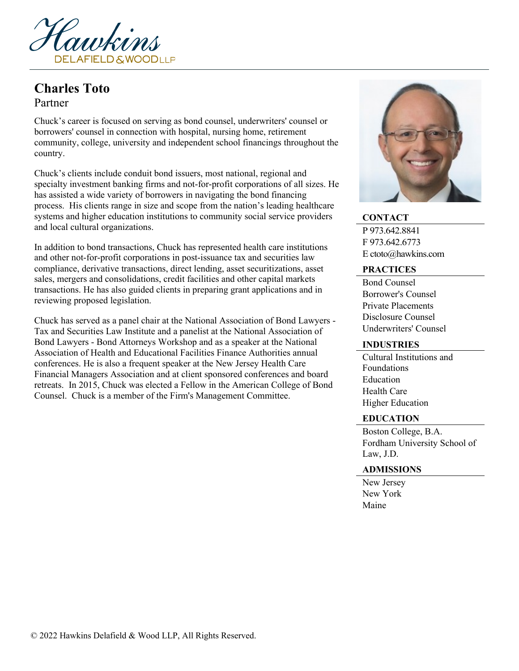

# **Charles Toto**

## Partner

Chuck's career is focused on serving as bond counsel, underwriters' counsel or borrowers' counsel in connection with hospital, nursing home, retirement community, college, university and independent school financings throughout the country.

Chuck's clients include conduit bond issuers, most national, regional and specialty investment banking firms and not-for-profit corporations of all sizes. He has assisted a wide variety of borrowers in navigating the bond financing process. His clients range in size and scope from the nation's leading healthcare systems and higher education institutions to community social service providers and local cultural organizations.

In addition to bond transactions, Chuck has represented health care institutions and other not-for-profit corporations in post-issuance tax and securities law compliance, derivative transactions, direct lending, asset securitizations, asset sales, mergers and consolidations, credit facilities and other capital markets transactions. He has also guided clients in preparing grant applications and in reviewing proposed legislation.

Chuck has served as a panel chair at the National Association of Bond Lawyers - Tax and Securities Law Institute and a panelist at the National Association of Bond Lawyers - Bond Attorneys Workshop and as a speaker at the National Association of Health and Educational Facilities Finance Authorities annual conferences. He is also a frequent speaker at the New Jersey Health Care Financial Managers Association and at client sponsored conferences and board retreats. In 2015, Chuck was elected a Fellow in the American College of Bond Counsel. Chuck is a member of the Firm's Management Committee.



### **CONTACT**

P 973.642.8841 F 973.642.6773 E ctoto@hawkins.com

#### **PRACTICES**

Bond Counsel Borrower's Counsel Private Placements Disclosure Counsel Underwriters' Counsel

#### **INDUSTRIES**

Cultural Institutions and Foundations Education Health Care Higher Education

#### **EDUCATION**

Boston College, B.A. Fordham University School of Law, J.D.

#### **ADMISSIONS**

New Jersey New York Maine